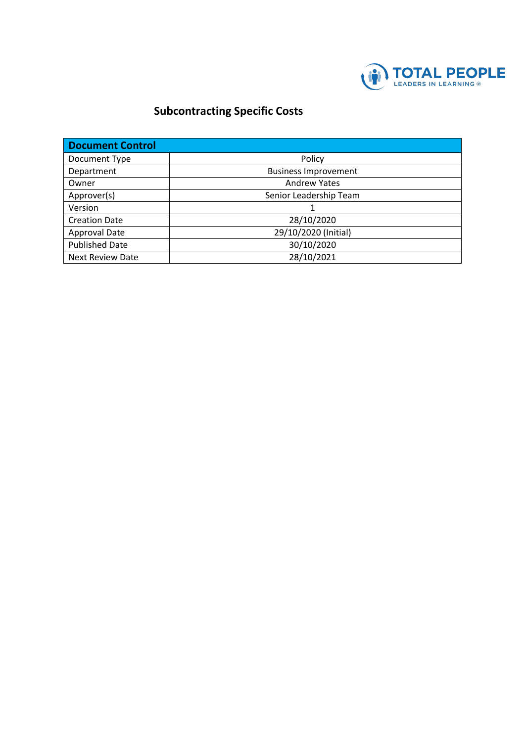

## **Subcontracting Specific Costs**

| <b>Document Control</b> |                             |  |  |
|-------------------------|-----------------------------|--|--|
| Document Type           | Policy                      |  |  |
| Department              | <b>Business Improvement</b> |  |  |
| Owner                   | <b>Andrew Yates</b>         |  |  |
| Approver(s)             | Senior Leadership Team      |  |  |
| Version                 |                             |  |  |
| <b>Creation Date</b>    | 28/10/2020                  |  |  |
| Approval Date           | 29/10/2020 (Initial)        |  |  |
| <b>Published Date</b>   | 30/10/2020                  |  |  |
| <b>Next Review Date</b> | 28/10/2021                  |  |  |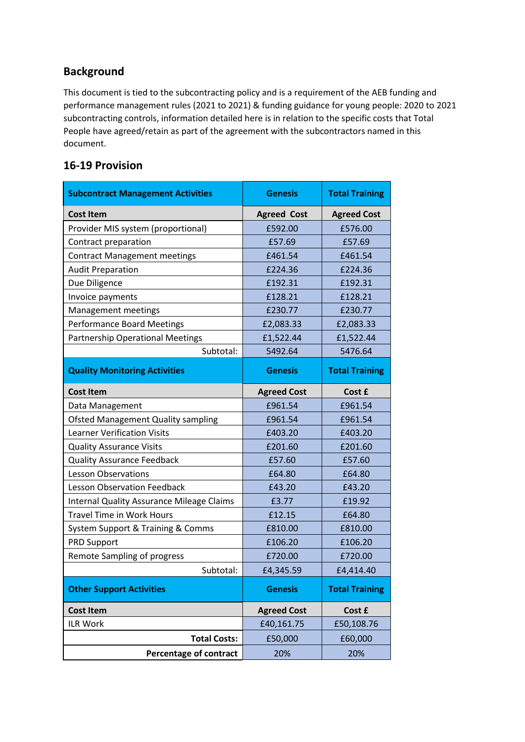## **Background**

This document is tied to the subcontracting policy and is a requirement of the AEB funding and performance management rules (2021 to 2021) & funding guidance for young people: 2020 to 2021 subcontracting controls, information detailed here is in relation to the specific costs that Total People have agreed/retain as part of the agreement with the subcontractors named in this document.

## **16-19 Provision**

| <b>Subcontract Management Activities</b>         | <b>Genesis</b>     | <b>Total Training</b> |
|--------------------------------------------------|--------------------|-----------------------|
| <b>Cost Item</b>                                 | <b>Agreed Cost</b> | <b>Agreed Cost</b>    |
| Provider MIS system (proportional)               | £592.00            | £576.00               |
| Contract preparation                             | £57.69             | £57.69                |
| <b>Contract Management meetings</b>              | £461.54            | £461.54               |
| <b>Audit Preparation</b>                         | £224.36            | £224.36               |
| Due Diligence                                    | £192.31            | £192.31               |
| Invoice payments                                 | £128.21            | £128.21               |
| Management meetings                              | £230.77            | £230.77               |
| <b>Performance Board Meetings</b>                | £2,083.33          | £2,083.33             |
| <b>Partnership Operational Meetings</b>          | £1,522.44          | £1,522.44             |
| Subtotal:                                        | 5492.64            | 5476.64               |
| <b>Quality Monitoring Activities</b>             | <b>Genesis</b>     | <b>Total Training</b> |
| <b>Cost Item</b>                                 | <b>Agreed Cost</b> | Cost £                |
| Data Management                                  | £961.54            | £961.54               |
| <b>Ofsted Management Quality sampling</b>        | £961.54            | £961.54               |
| <b>Learner Verification Visits</b>               | £403.20            | £403.20               |
| <b>Quality Assurance Visits</b>                  | £201.60            | £201.60               |
| <b>Quality Assurance Feedback</b>                | £57.60             | £57.60                |
| <b>Lesson Observations</b>                       | £64.80             | £64.80                |
| <b>Lesson Observation Feedback</b>               | £43.20             | £43.20                |
| <b>Internal Quality Assurance Mileage Claims</b> | £3.77              | £19.92                |
| <b>Travel Time in Work Hours</b>                 | £12.15             | £64.80                |
| System Support & Training & Comms                | £810.00            | £810.00               |
| <b>PRD Support</b>                               | £106.20            | £106.20               |
| <b>Remote Sampling of progress</b>               | £720.00            | £720.00               |
| Subtotal:                                        | £4,345.59          | £4,414.40             |
| <b>Other Support Activities</b>                  | <b>Genesis</b>     | <b>Total Training</b> |
| <b>Cost Item</b>                                 | <b>Agreed Cost</b> | Cost £                |
| ILR Work                                         | £40,161.75         | £50,108.76            |
| <b>Total Costs:</b>                              | £50,000            | £60,000               |
| <b>Percentage of contract</b>                    | 20%                | 20%                   |